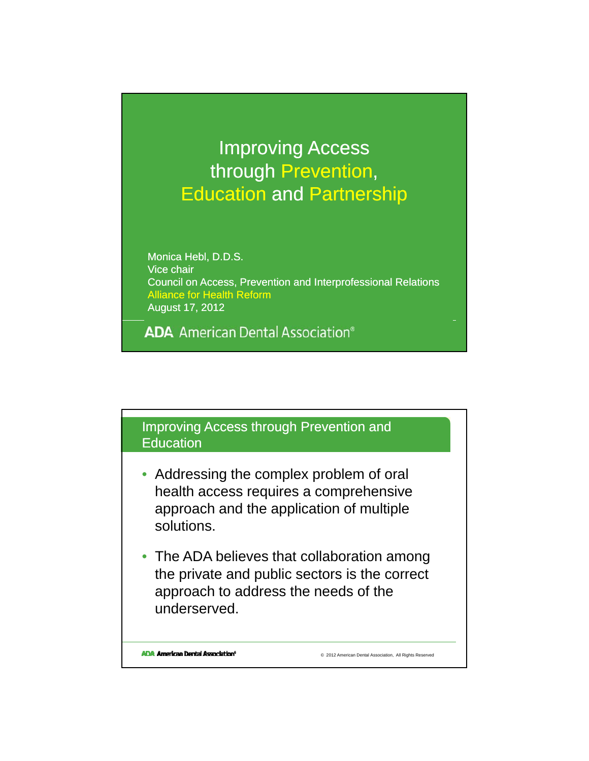## Improving Access through Prevention, Education and Partnership

Monica Hebl, D.D.S. Vice chair Council on Access, Prevention and Interprofessional Relations Alliance for Health Reform August 17, 2012

**ADA** American Dental Association<sup>®</sup>

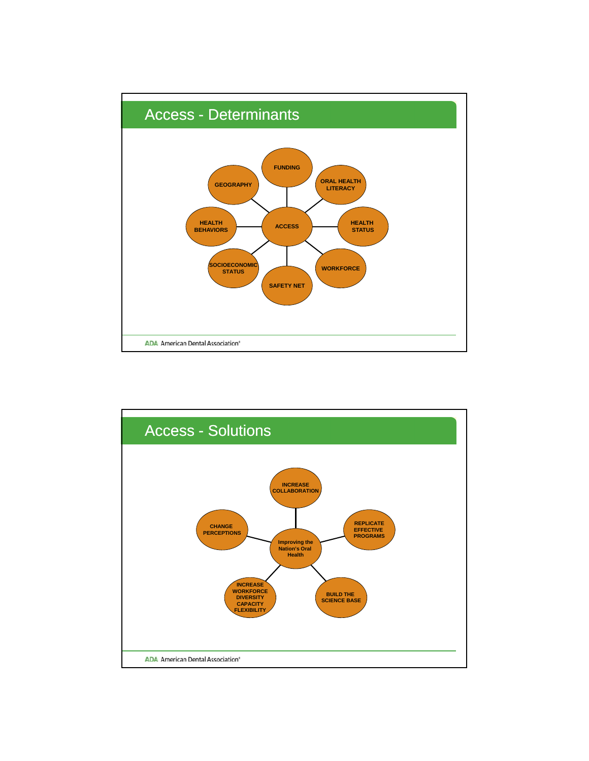

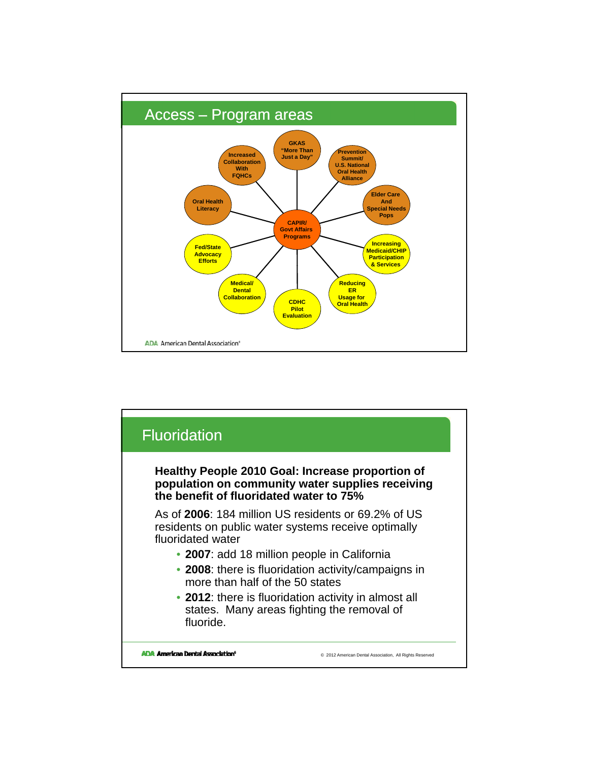

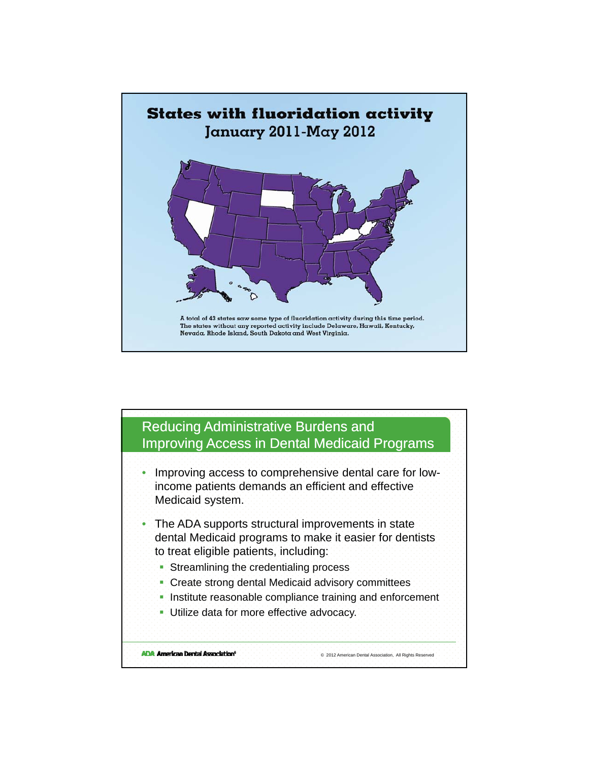

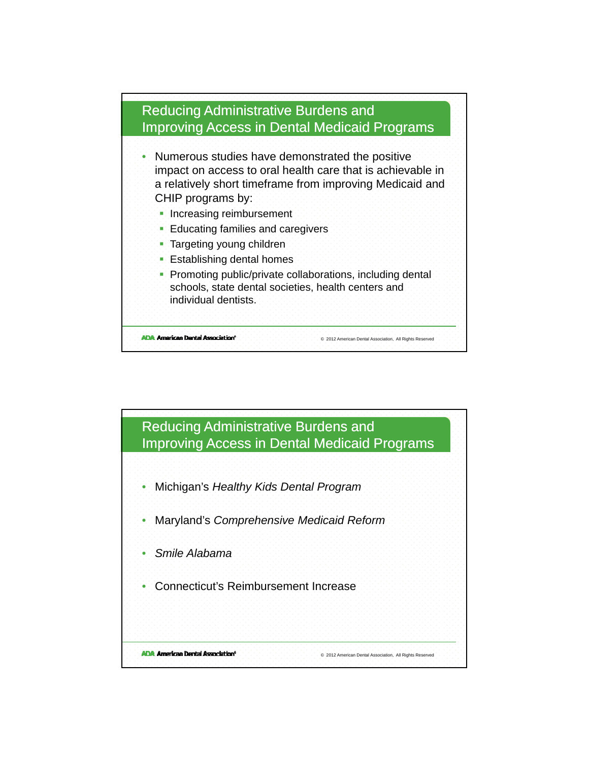

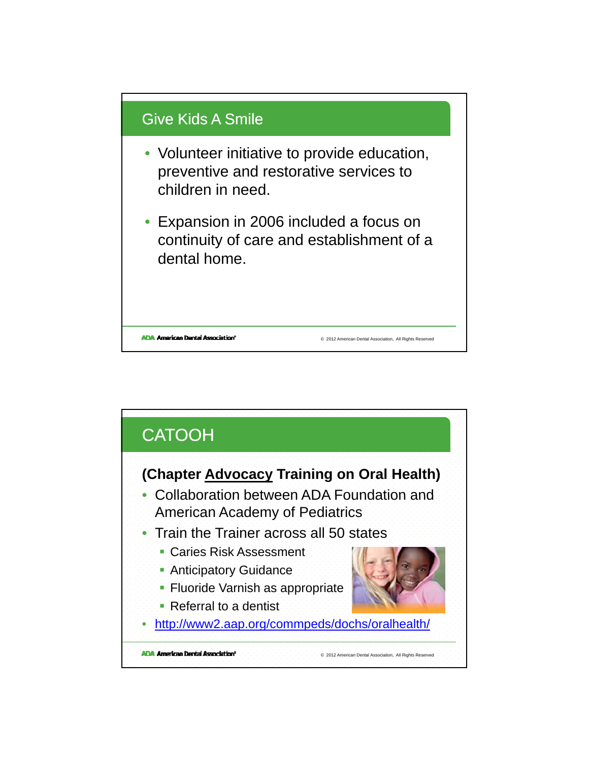

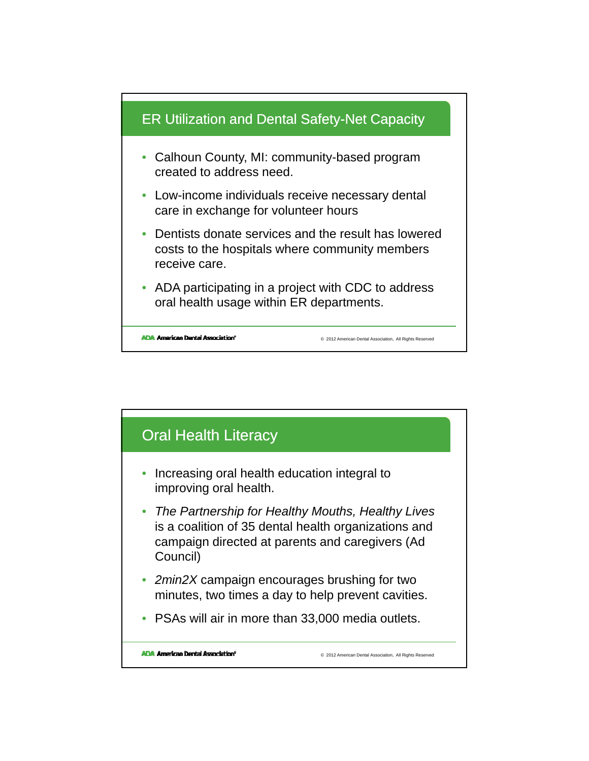